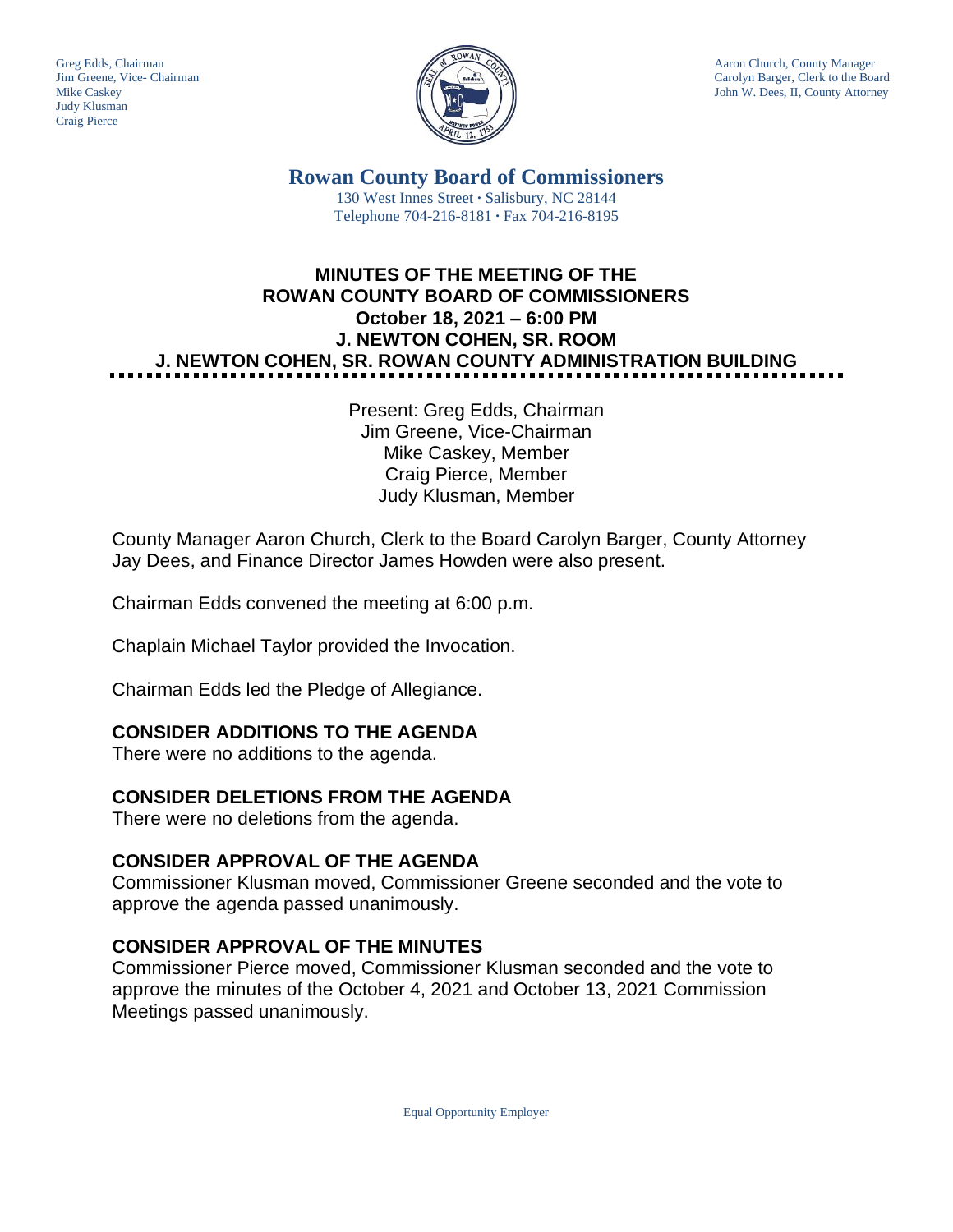Judy Klusman Craig Pierce



Greg Edds, Chairman Aaron Church, County Manager<br>Jim Greene, Vice- Chairman Aaron Church, County Manager<br>Carolyn Barger, Clerk to the Boa Jim Greene, Vice- Chairman Carolyn Barger, Clerk to the Board Mike Caskev Carolyn Barger, Clerk to the Board Iohn W. Dees, II, County Attorney John W. Dees, II, County Attorney

> **Rowan County Board of Commissioners** 130 West Innes Street **∙** Salisbury, NC 28144 Telephone 704-216-8181 **∙** Fax 704-216-8195

# **MINUTES OF THE MEETING OF THE ROWAN COUNTY BOARD OF COMMISSIONERS October 18, 2021 – 6:00 PM J. NEWTON COHEN, SR. ROOM J. NEWTON COHEN, SR. ROWAN COUNTY ADMINISTRATION BUILDING**

Present: Greg Edds, Chairman Jim Greene, Vice-Chairman Mike Caskey, Member Craig Pierce, Member Judy Klusman, Member

County Manager Aaron Church, Clerk to the Board Carolyn Barger, County Attorney Jay Dees, and Finance Director James Howden were also present.

Chairman Edds convened the meeting at 6:00 p.m.

Chaplain Michael Taylor provided the Invocation.

Chairman Edds led the Pledge of Allegiance.

# **CONSIDER ADDITIONS TO THE AGENDA**

There were no additions to the agenda.

#### **CONSIDER DELETIONS FROM THE AGENDA**

There were no deletions from the agenda.

#### **CONSIDER APPROVAL OF THE AGENDA**

Commissioner Klusman moved, Commissioner Greene seconded and the vote to approve the agenda passed unanimously.

# **CONSIDER APPROVAL OF THE MINUTES**

Commissioner Pierce moved, Commissioner Klusman seconded and the vote to approve the minutes of the October 4, 2021 and October 13, 2021 Commission Meetings passed unanimously.

Equal Opportunity Employer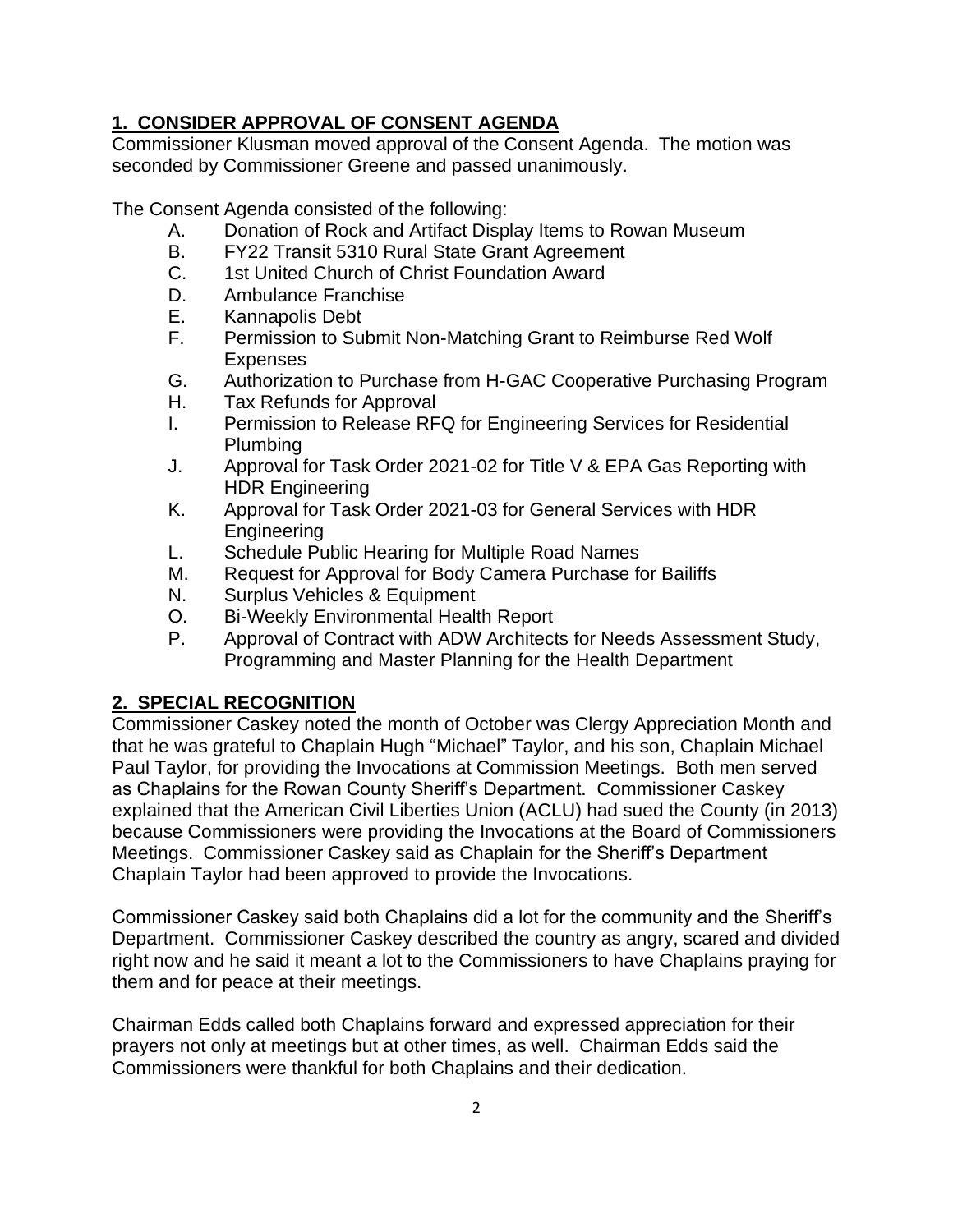# **1. CONSIDER APPROVAL OF CONSENT AGENDA**

Commissioner Klusman moved approval of the Consent Agenda. The motion was seconded by Commissioner Greene and passed unanimously.

The Consent Agenda consisted of the following:

- A. Donation of Rock and Artifact Display Items to Rowan Museum<br>B. FY22 Transit 5310 Rural State Grant Agreement
- B. FY22 Transit 5310 Rural State Grant Agreement
- C. 1st United Church of Christ Foundation Award
- D. Ambulance Franchise
- E. Kannapolis Debt
- F. Permission to Submit Non-Matching Grant to Reimburse Red Wolf Expenses
- G. Authorization to Purchase from H-GAC Cooperative Purchasing Program
- H. Tax Refunds for Approval
- I. Permission to Release RFQ for Engineering Services for Residential Plumbing
- J. Approval for Task Order 2021-02 for Title V & EPA Gas Reporting with HDR Engineering
- K. Approval for Task Order 2021-03 for General Services with HDR Engineering
- L. Schedule Public Hearing for Multiple Road Names
- M. Request for Approval for Body Camera Purchase for Bailiffs
- N. Surplus Vehicles & Equipment
- O. Bi-Weekly Environmental Health Report
- P. Approval of Contract with ADW Architects for Needs Assessment Study, Programming and Master Planning for the Health Department

# **2. SPECIAL RECOGNITION**

Commissioner Caskey noted the month of October was Clergy Appreciation Month and that he was grateful to Chaplain Hugh "Michael" Taylor, and his son, Chaplain Michael Paul Taylor, for providing the Invocations at Commission Meetings. Both men served as Chaplains for the Rowan County Sheriff's Department. Commissioner Caskey explained that the American Civil Liberties Union (ACLU) had sued the County (in 2013) because Commissioners were providing the Invocations at the Board of Commissioners Meetings. Commissioner Caskey said as Chaplain for the Sheriff's Department Chaplain Taylor had been approved to provide the Invocations.

Commissioner Caskey said both Chaplains did a lot for the community and the Sheriff's Department. Commissioner Caskey described the country as angry, scared and divided right now and he said it meant a lot to the Commissioners to have Chaplains praying for them and for peace at their meetings.

Chairman Edds called both Chaplains forward and expressed appreciation for their prayers not only at meetings but at other times, as well. Chairman Edds said the Commissioners were thankful for both Chaplains and their dedication.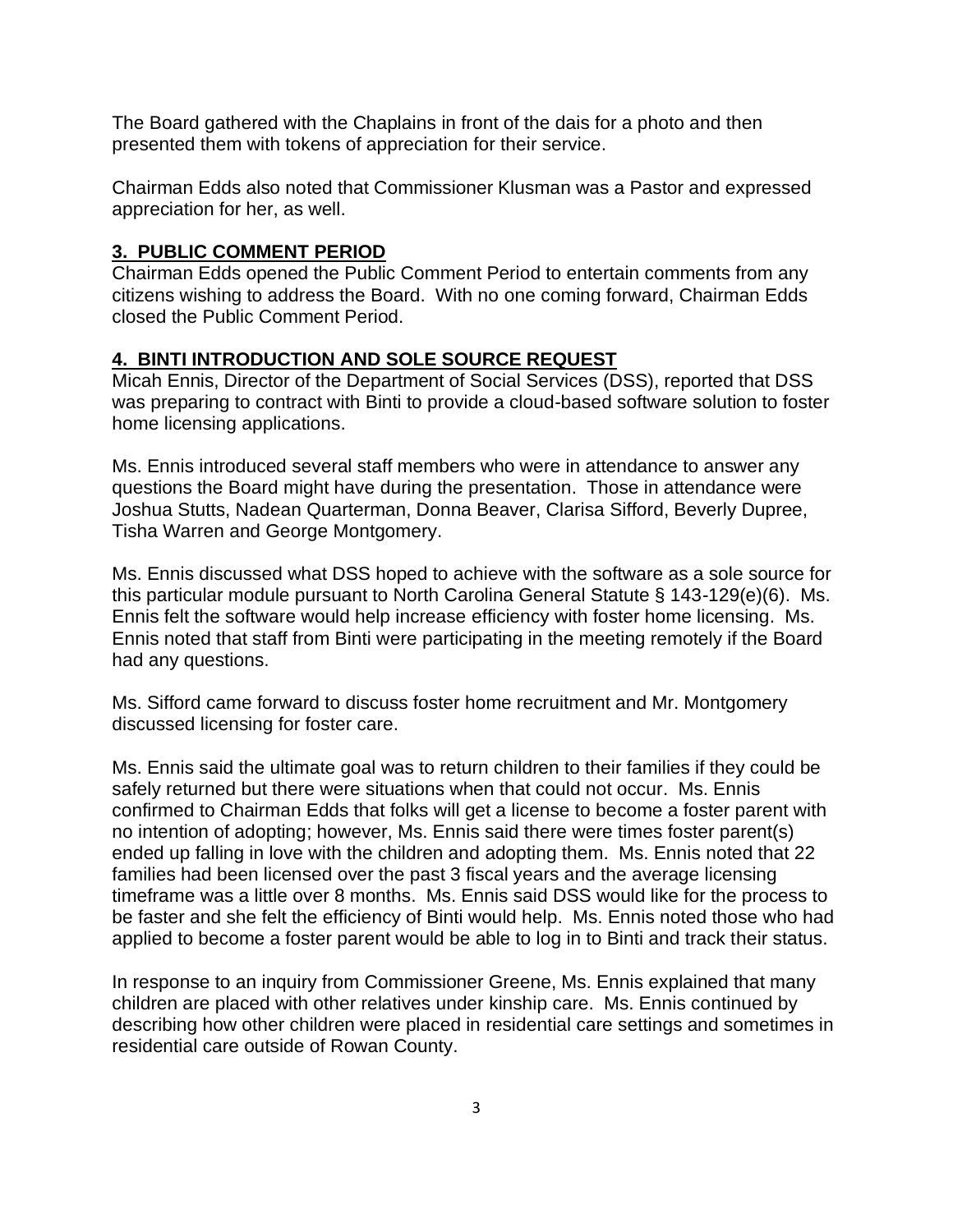The Board gathered with the Chaplains in front of the dais for a photo and then presented them with tokens of appreciation for their service.

Chairman Edds also noted that Commissioner Klusman was a Pastor and expressed appreciation for her, as well.

#### **3. PUBLIC COMMENT PERIOD**

Chairman Edds opened the Public Comment Period to entertain comments from any citizens wishing to address the Board. With no one coming forward, Chairman Edds closed the Public Comment Period.

### **4. BINTI INTRODUCTION AND SOLE SOURCE REQUEST**

Micah Ennis, Director of the Department of Social Services (DSS), reported that DSS was preparing to contract with Binti to provide a cloud-based software solution to foster home licensing applications.

Ms. Ennis introduced several staff members who were in attendance to answer any questions the Board might have during the presentation. Those in attendance were Joshua Stutts, Nadean Quarterman, Donna Beaver, Clarisa Sifford, Beverly Dupree, Tisha Warren and George Montgomery.

Ms. Ennis discussed what DSS hoped to achieve with the software as a sole source for this particular module pursuant to North Carolina General Statute § 143-129(e)(6). Ms. Ennis felt the software would help increase efficiency with foster home licensing. Ms. Ennis noted that staff from Binti were participating in the meeting remotely if the Board had any questions.

Ms. Sifford came forward to discuss foster home recruitment and Mr. Montgomery discussed licensing for foster care.

Ms. Ennis said the ultimate goal was to return children to their families if they could be safely returned but there were situations when that could not occur. Ms. Ennis confirmed to Chairman Edds that folks will get a license to become a foster parent with no intention of adopting; however, Ms. Ennis said there were times foster parent(s) ended up falling in love with the children and adopting them. Ms. Ennis noted that 22 families had been licensed over the past 3 fiscal years and the average licensing timeframe was a little over 8 months. Ms. Ennis said DSS would like for the process to be faster and she felt the efficiency of Binti would help. Ms. Ennis noted those who had applied to become a foster parent would be able to log in to Binti and track their status.

In response to an inquiry from Commissioner Greene, Ms. Ennis explained that many children are placed with other relatives under kinship care. Ms. Ennis continued by describing how other children were placed in residential care settings and sometimes in residential care outside of Rowan County.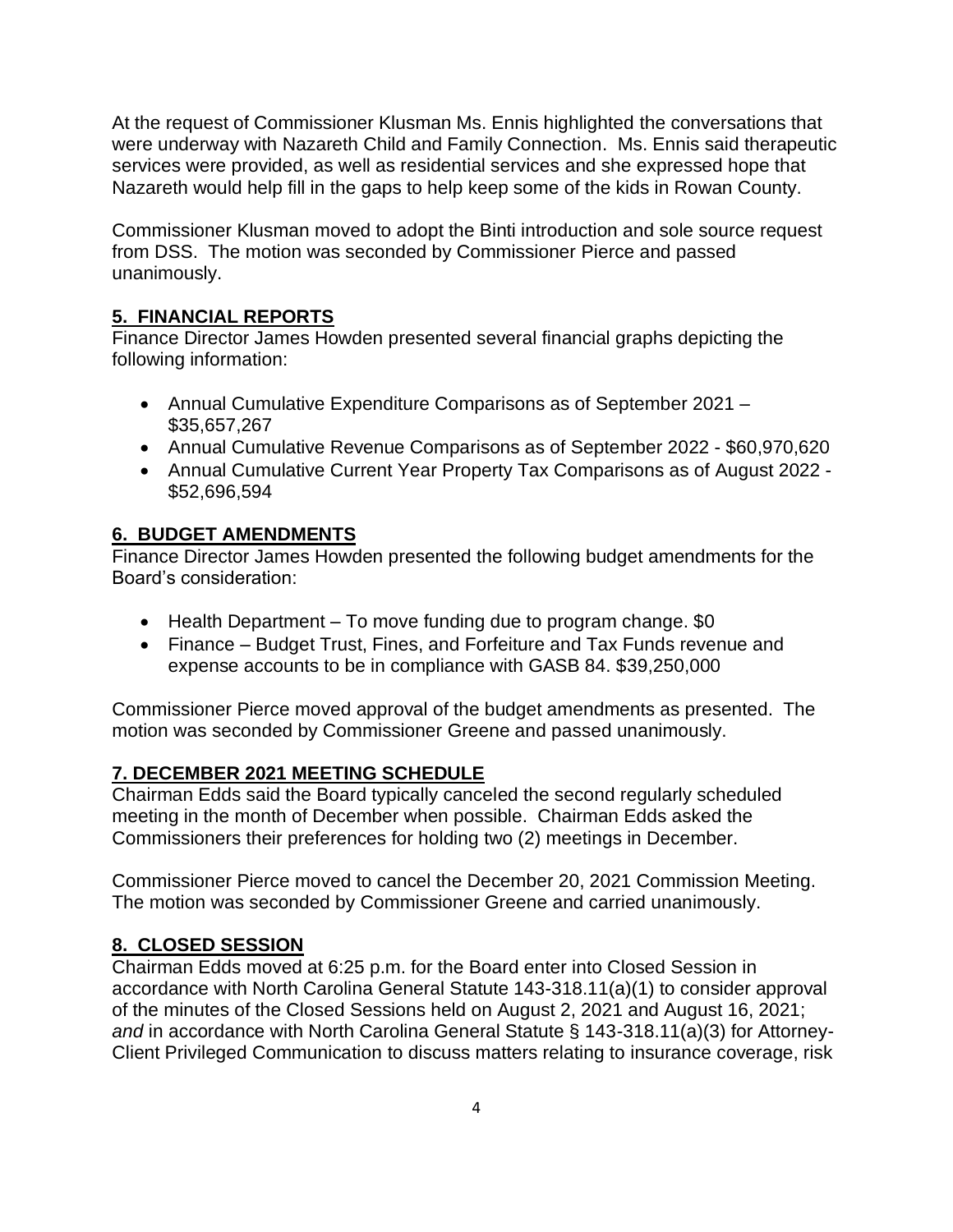At the request of Commissioner Klusman Ms. Ennis highlighted the conversations that were underway with Nazareth Child and Family Connection. Ms. Ennis said therapeutic services were provided, as well as residential services and she expressed hope that Nazareth would help fill in the gaps to help keep some of the kids in Rowan County.

Commissioner Klusman moved to adopt the Binti introduction and sole source request from DSS. The motion was seconded by Commissioner Pierce and passed unanimously.

# **5. FINANCIAL REPORTS**

Finance Director James Howden presented several financial graphs depicting the following information:

- Annual Cumulative Expenditure Comparisons as of September 2021 \$35,657,267
- Annual Cumulative Revenue Comparisons as of September 2022 \$60,970,620
- Annual Cumulative Current Year Property Tax Comparisons as of August 2022 \$52,696,594

### **6. BUDGET AMENDMENTS**

Finance Director James Howden presented the following budget amendments for the Board's consideration:

- Health Department To move funding due to program change. \$0
- Finance Budget Trust, Fines, and Forfeiture and Tax Funds revenue and expense accounts to be in compliance with GASB 84. \$39,250,000

Commissioner Pierce moved approval of the budget amendments as presented. The motion was seconded by Commissioner Greene and passed unanimously.

#### **7. DECEMBER 2021 MEETING SCHEDULE**

Chairman Edds said the Board typically canceled the second regularly scheduled meeting in the month of December when possible. Chairman Edds asked the Commissioners their preferences for holding two (2) meetings in December.

Commissioner Pierce moved to cancel the December 20, 2021 Commission Meeting. The motion was seconded by Commissioner Greene and carried unanimously.

#### **8. CLOSED SESSION**

Chairman Edds moved at 6:25 p.m. for the Board enter into Closed Session in accordance with North Carolina General Statute 143-318.11(a)(1) to consider approval of the minutes of the Closed Sessions held on August 2, 2021 and August 16, 2021; *and* in accordance with North Carolina General Statute § 143-318.11(a)(3) for Attorney-Client Privileged Communication to discuss matters relating to insurance coverage, risk